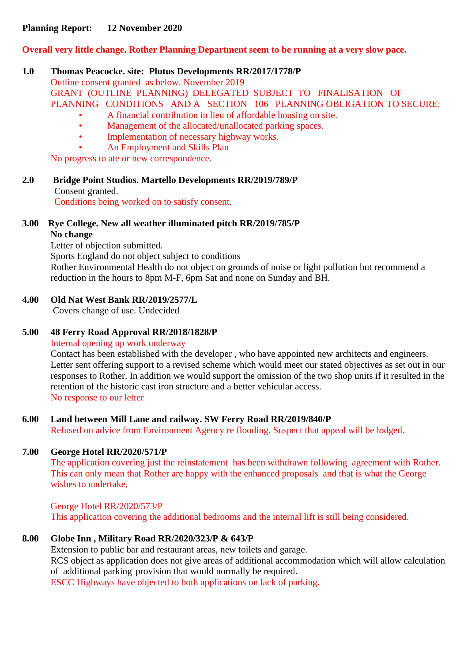### **Planning Report: 12 November 2020**

### **Overall very little change. Rother Planning Department seem to be running at a very slow pace.**

#### **1.0 Thomas Peacocke. site: Plutus Developments RR/2017/1778/P**

Outline consent granted as below. November 2019 GRANT (OUTLINE PLANNING) DELEGATED SUBJECT TO FINALISATION OF PLANNING CONDITIONS AND A SECTION 106 PLANNING OBLIGATION TO SECURE:

- A financial contribution in lieu of affordable housing on site.<br>• Management of the allocated/unallocated parking spaces
- Management of the allocated/unallocated parking spaces.
- Implementation of necessary highway works.
- An Employment and Skills Plan

No progress to ate or new correspondence.

**2.0 Bridge Point Studios. Martello Developments RR/2019/789/P** Consent granted.

Conditions being worked on to satisfy consent.

#### **3.00 Rye College. New all weather illuminated pitch RR/2019/785/P No change**

Letter of objection submitted.

Sports England do not object subject to conditions

Rother Environmental Health do not object on grounds of noise or light pollution but recommend a reduction in the hours to 8pm M-F, 6pm Sat and none on Sunday and BH.

### **4.00 Old Nat West Bank RR/2019/2577/L**

Covers change of use. Undecided

# **5.00 48 Ferry Road Approval RR/2018/1828/P**

Internal opening up work underway

Contact has been established with the developer , who have appointed new architects and engineers. Letter sent offering support to a revised scheme which would meet our stated objectives as set out in our responses to Rother. In addition we would support the omission of the two shop units if it resulted in the retention of the historic cast iron structure and a better vehicular access. No response to our letter

# **6.00 Land between Mill Lane and railway. SW Ferry Road RR/2019/840/P**

Refused on advice from Environment Agency re flooding. Suspect that appeal will be lodged.

#### **7.00 George Hotel RR/2020/571/P**

The application covering just the reinstatement has been withdrawn following agreement with Rother. This can only mean that Rother are happy with the enhanced proposals and that is what the George wishes to undertake,

George Hotel RR/2020/573/P This application covering the additional bedrooms and the internal lift is still being considered.

# **8.00 Globe Inn , Military Road RR/2020/323/P & 643/P**

Extension to public bar and restaurant areas, new toilets and garage. RCS object as application does not give areas of additional accommodation which will allow calculation of additional parking provision that would normally be required. ESCC Highways have objected to both applications on lack of parking.